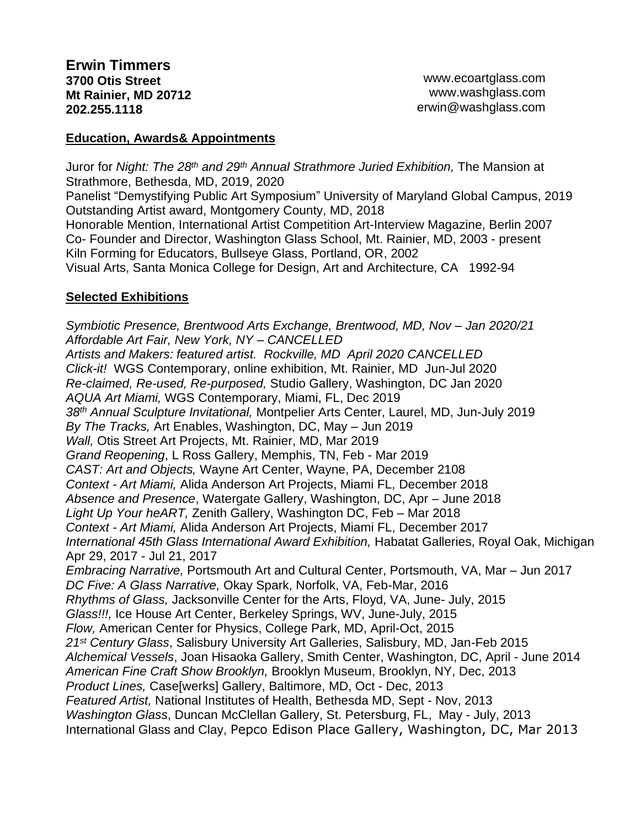## **Education, Awards& Appointments**

Juror for *Night: The 28th and 29th Annual Strathmore Juried Exhibition,* The Mansion at Strathmore, Bethesda, MD, 2019, 2020

Panelist "Demystifying Public Art Symposium" University of Maryland Global Campus, 2019 Outstanding Artist award, Montgomery County, MD, 2018

Honorable Mention, International Artist Competition Art-Interview Magazine, Berlin 2007 Co- Founder and Director, Washington Glass School, Mt. Rainier, MD, 2003 - present Kiln Forming for Educators, Bullseye Glass, Portland, OR, 2002

Visual Arts, Santa Monica College for Design, Art and Architecture, CA 1992-94

## **Selected Exhibitions**

*Symbiotic Presence, Brentwood Arts Exchange, Brentwood, MD, Nov – Jan 2020/21 Affordable Art Fair, New York, NY – CANCELLED Artists and Makers: featured artist. Rockville, MD April 2020 CANCELLED Click-it!* WGS Contemporary, online exhibition, Mt. Rainier, MD Jun-Jul 2020 *Re-claimed, Re-used, Re-purposed,* Studio Gallery, Washington, DC Jan 2020 *AQUA Art Miami,* WGS Contemporary, Miami, FL, Dec 2019 *38th Annual Sculpture Invitational,* Montpelier Arts Center, Laurel, MD, Jun-July 2019 *By The Tracks,* Art Enables, Washington, DC, May – Jun 2019 *Wall,* Otis Street Art Projects, Mt. Rainier, MD, Mar 2019 *Grand Reopening*, L Ross Gallery, Memphis, TN, Feb - Mar 2019 *CAST: Art and Objects,* Wayne Art Center, Wayne, PA, December 2108 *Context - Art Miami,* Alida Anderson Art Projects, Miami FL, December 2018 *Absence and Presence*, Watergate Gallery, Washington, DC, Apr – June 2018 *Light Up Your heART,* Zenith Gallery, Washington DC, Feb – Mar 2018 *Context - Art Miami,* Alida Anderson Art Projects, Miami FL, December 2017 *International 45th Glass International Award Exhibition,* Habatat Galleries, Royal Oak, Michigan Apr 29, 2017 - Jul 21, 2017 *Embracing Narrative,* Portsmouth Art and Cultural Center, Portsmouth, VA, Mar – Jun 2017 *DC Five: A Glass Narrative,* Okay Spark, Norfolk, VA, Feb-Mar, 2016 *Rhythms of Glass,* Jacksonville Center for the Arts, Floyd, VA, June- July, 2015 *Glass!!!,* Ice House Art Center, Berkeley Springs, WV, June-July, 2015 *Flow,* American Center for Physics, College Park, MD, April-Oct, 2015 *21st Century Glass*, Salisbury University Art Galleries, Salisbury, MD, Jan-Feb 2015 *Alchemical Vessels*, Joan Hisaoka Gallery, Smith Center, Washington, DC, April - June 2014 *American Fine Craft Show Brooklyn,* Brooklyn Museum, Brooklyn, NY, Dec, 2013 *Product Lines,* Case[werks] Gallery, Baltimore, MD, Oct - Dec, 2013 *Featured Artist,* National Institutes of Health, Bethesda MD, Sept - Nov, 2013 *Washington Glass*, Duncan McClellan Gallery, St. Petersburg, FL, May - July, 2013 International Glass and Clay, Pepco Edison Place Gallery, Washington, DC, Mar 2013